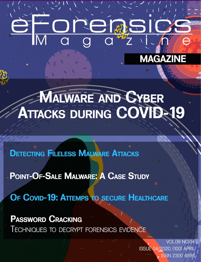# 

# **MAGAZINE**

# MALWARE AND CYBER ATTACKS DURING COVID-19

# **DETECTING FILELESS MALWARE ATTACKS**

- POINT-OF-SALE MALWARE: A CASE STUDY

OF COVID-19: ATTEMPS TO SECURE HEALTHCARE

**PASSWORD CRACKING** 

**IECHNIQUES TO DECRYPT FORENSICS EVIDENCE** 

**VOL.09 NO.04 ISSUE 04/2020, (100) APRIL ISSN 2300 6986**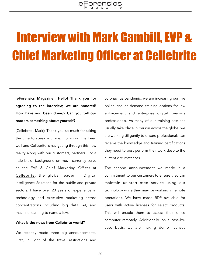# Interview with Mark Gambill, EVP & Chief Marketing Officer at Cellebrite

[eForensics Magazine]: Hello! Thank you for agreeing to the interview, we are honored! How have you been doing? Can you tell our readers something about yourself?

[Cellebrite, Mark]: Thank you so much for taking the time to speak with me, Dominika. I've been well and Cellebrite is navigating through this new reality along with our customers, partners. For a little bit of background on me, I currently serve as the EVP & Chief Marketing Officer at [Cellebrite,](https://www.cellebrite.com/en/home/) the global leader in Digital Intelligence Solutions for the public and private sectors. I have over 20 years of experience in technology and executive marketing across concentrations including big data, AI, and machine learning to name a few.

### What is the news from Cellebrite world?

We recently made three big announcements. [First,](https://www.prnewswire.com/news-releases/cellebrite-increases-online-learning-capacity-301026625.html) in light of the travel restrictions and coronavirus pandemic, we are increasing our live online and on-demand training options for law enforcement and enterprise digital forensics professionals. As many of our training sessions usually take place in person across the globe, we are working diligently to ensure professionals can receive the knowledge and training certifications they need to best perform their work despite the current circumstances.

The second announcement we made is a commitment to our customers to ensure they can maintain uninterrupted service using our technology while they may be working in remote operations. We have made RDP available for users with active licenses for select products. This will enable them to access their office computer remotely. Additionally, on a case-bycase basis, we are making demo licenses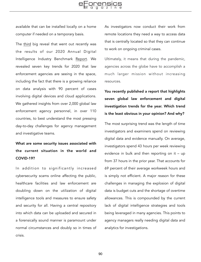available that can be installed locally on a home computer if needed on a temporary basis.

The [third](https://www.prnewswire.com/news-releases/cellebrite-unveils-the-top-global-digital-intelligence-trends-for-2020-301028449.html) big reveal that went out recently was the results of our 2020 Annual Digital Intelligence Industry Benchmark [Report.](https://www.cellebrite.com/en/insights/industry-report/) We revealed seven key trends for 2020 that law enforcement agencies are seeing in the space, including the fact that there is a growing reliance on data analysis with 90 percent of cases involving digital devices and cloud applications. We gathered insights from over 2,000 global law enforcement agency personnel, in over 110 countries, to best understand the most pressing day-to-day challenges for agency management and investigative teams.

# What are some security issues associated with the current situation in the world and COVID-19?

In addition to significantly increased cybersecurity scams online affecting the public, healthcare facilities and law enforcement are doubling down on the utilization of digital intelligence tools and measures to ensure safety and security for all. Having a central repository into which data can be uploaded and secured in a forensically sound manner is paramount under normal circumstances and doubly so in times of crisis.

As investigators now conduct their work from remote locations they need a way to access data that is centrally located so that they can continue to work on ongoing criminal cases.

Ultimately, it means that during the pandemic, agencies across the globe have to accomplish a much larger mission without increasing resources.

You recently published a report that highlights seven global law enforcement and digital investigation trends for the year. Which trend is the least obvious in your opinion? And why?

The most surprising trend was the length of time investigators and examiners spend on reviewing digital data and evidence manually. On average, investigators spend 43 hours per week reviewing evidence in bulk and then reporting on it – up from 37 hours in the prior year. That accounts for 69 percent of their average workweek hours and is simply not efficient. A major reason for these challenges in managing the explosion of digital data is budget cuts and the shortage of overtime allowances. This is compounded by the current lack of digital intelligence strategies and tools being leveraged in many agencies. This points to agency managers really needing digital data and analytics for investigations.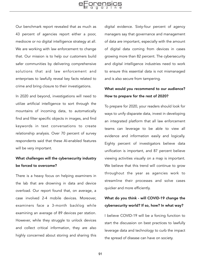Our benchmark report revealed that as much as 43 percent of agencies report either a poor, mediocre or no digital intelligence strategy at all. We are working with law enforcement to change that. Our mission is to help our customers build safer communities by delivering comprehensive solutions that aid law enforcement and enterprises to lawfully reveal key facts related to crime and bring closure to their investigations.

In 2020 and beyond, investigations will need to utilize artificial intelligence to sort through the mountains of incoming data, to automatically find and filter specific objects in images, and find keywords in text conversations to create relationship analysis. Over 70 percent of survey respondents said that these AI-enabled features will be very important.

## What challenges will the cybersecurity industry be forced to overcome?

There is a heavy focus on helping examiners in the lab that are drowning in data and device overload. Our report found that, on average, a case involved 2-4 mobile devices. Moreover, examiners face a 3-month backlog while examining an average of 89 devices per station. However, while they struggle to unlock devices and collect critical information, they are also highly concerned about storing and sharing this digital evidence. Sixty-four percent of agency managers say that governance and management of data are important, especially with the amount of digital data coming from devices in cases growing more than 82 percent. The cybersecurity and digital intelligence industries need to work to ensure this essential data is not mismanaged and is also secure from tampering.

## What would you recommend to our audience? How to prepare for the rest of 2020?

To prepare for 2020, your readers should look for ways to unify disparate data, invest in developing an integrated platform that all law enforcement teams can leverage to be able to view all evidence and information easily and logically. Eighty percent of investigators believe data unification is important, and 87 percent believe viewing activities visually on a map is important. We believe that this trend will continue to grow throughout the year as agencies work to streamline their processes and solve cases quicker and more efficiently.

## What do you think - will COVID-19 change the cybersecurity world? If so, how? In what way?

I believe COVID-19 will be a forcing function to start the discussion on best practices to lawfully leverage data and technology to curb the impact the spread of disease can have on society.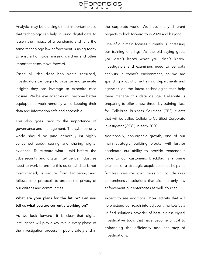Analytics may be the single most important place that technology can help in using digital data to lessen the impact of a pandemic and it is the same technology law enforcement is using today to ensure homicide, missing children and other important cases move forward.

Once all the data has been secured, investigators can begin to visualize and generate insights they can leverage to expedite case closure. We believe agencies will become better equipped to work remotely while keeping their data and information safe and accessible.

This also goes back to the importance of governance and management. The cybersecurity world should be (and generally is) highly concerned about storing and sharing digital evidence. To reiterate what I said before, the cybersecurity and digital intelligence industries need to work to ensure this essential data is not mismanaged, is secure from tampering and follows strict protocols to protect the privacy of our citizens and communities.

## What are your plans for the future? Can you tell us what you are currently working on?

As we look forward, it is clear that digital intelligence will play a key role in every phase of the investigation process in public safety and in

the corporate world. We have many different projects to look forward to in 2020 and beyond.

One of our main focuses currently is increasing our training offerings. As the old saying goes, you don't know what you don't know. Investigators and examiners need to be data analysts in today's environment, so we are spending a lot of time training departments and agencies on the latest technologies that help them manage this data deluge. Cellebrite is preparing to offer a new three-day training class for Cellebrite Business Solutions (CBS) clients that will be called Cellebrite Certified Corporate Investigator (CCCI) in early 2020.

Additionally, non-organic growth, one of our main strategic building blocks, will further accelerate our ability to provide tremendous value to our customers. BlackBag is a prime example of a strategic acquisition that helps us further realize our mission to deliver comprehensive solutions that aid not only law enforcement but enterprises as well. You can

expect to see additional M&A activity that will help extend our reach into adjacent markets as a unified solutions provider of best-in-class digital investigative tools that have become critical to enhancing the efficiency and accuracy of investigations.